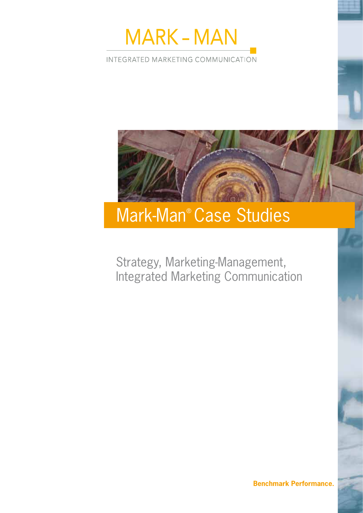

INTEGRATED MARKETING COMMUNICATION



# Strategy, Marketing-Management, Integrated Marketing Communication

**Benchmark Performance.**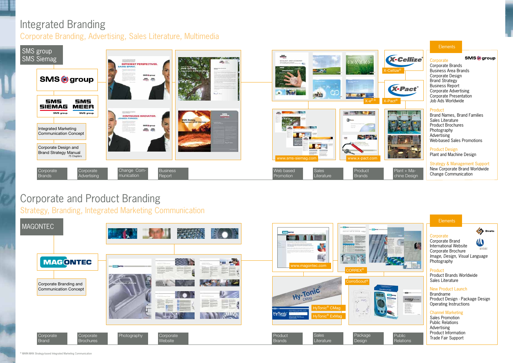#### **Elements**

#### **Corporate**

### Integrated Branding Corporate Branding, Advertising, Sales Literature, Multimedia

## Corporate and Product Branding

Strategy, Branding, Integrated Marketing Communication





Corporate Brands Business Area Brands Corporate Design Brand Strategy Business Report Corporate Advertising Corporate Presentation Job Ads Worldwide

**SMS**<sub>(a)</sub> group

#### Product

**Public** Relations

#### **Elements**

#### **Corporate**

Brand Names, Brand Families Sales Literature Product Brochures Photography Advertising Web-based Sales Promotions

Product Design Plant and Machine Design

Strategy & Management Support New Corporate Brand Worldwide





Corporate Brand w International Website Corporate Brochure Photography



HYDRE

*Image, Design, Visual Language*

Product Product Brands Worldwide Sales Literature

#### New Product Launch

Brandname Product Design . Package Design Operating Instructions

#### Channel Marketing

Sales Promotion Public Relations Advertising Product Information